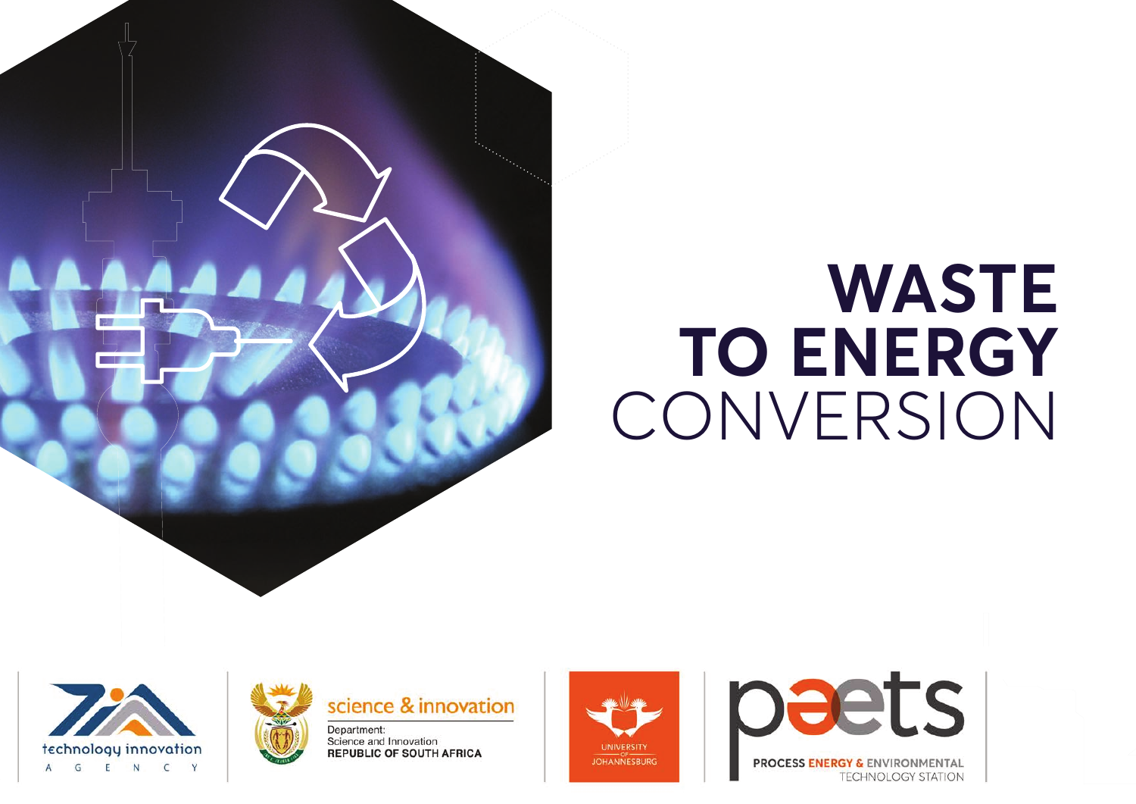

# **WASTE TO ENERGY CONVERSION**





Science and Innovation **REPUBLIC OF SOUTH AFRICA** 





**PROCESS ENERGY & ENVIRONMENTAL TECHNOLOGY STATION**